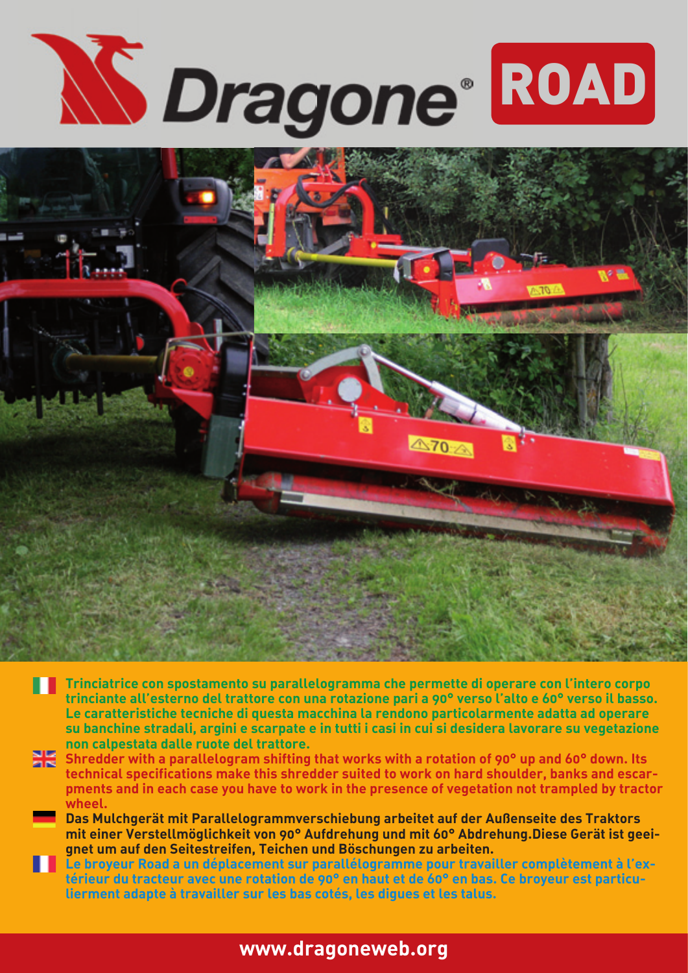



- **Trinciatrice con spostamento su parallelogramma che permette di operare con l'intero corpo trinciante all'esterno del trattore con una rotazione pari a 90° verso l'alto e 60° verso il basso. Le caratteristiche tecniche di questa macchina la rendono particolarmente adatta ad operare su banchine stradali, argini e scarpate e in tutti i casi in cui si desidera lavorare su vegetazione non calpestata dalle ruote del trattore.**
- **Shredder with a parallelogram shifting that works with a rotation of 90° up and 60° down. Its technical specifications make this shredder suited to work on hard shoulder, banks and escarpments and in each case you have to work in the presence of vegetation not trampled by tractor wheel.**
	- **Das Mulchgerät mit Parallelogrammverschiebung arbeitet auf der Außenseite des Traktors mit einer Verstellmöglichkeit von 90° Aufdrehung und mit 60° Abdrehung.Diese Gerät ist geeignet um auf den Seitestreifen, Teichen und Böschungen zu arbeiten.**
- **Le broyeur Road a un déplacement sur parallélogramme pour travailler complètement à l'extérieur du tracteur avec une rotation de 90° en haut et de 60° en bas. Ce broyeur est particulierment adapte à travailler sur les bas cotés, les digues et les talus.**

## **www.dragoneweb.org**